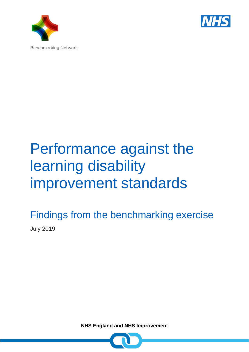



## Performance against the learning disability improvement standards

Findings from the benchmarking exercise July 2019

**NHS England and NHS Improvement**

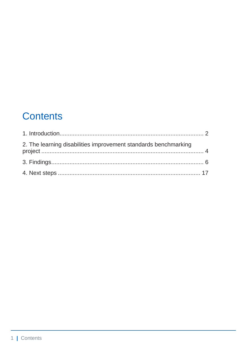### **Contents**

| 2. The learning disabilities improvement standards benchmarking |  |
|-----------------------------------------------------------------|--|
|                                                                 |  |
|                                                                 |  |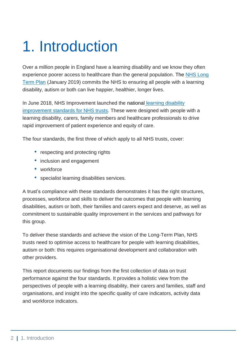## <span id="page-2-0"></span>1. Introduction

Over a million people in England have a learning disability and we know they often experience poorer access to healthcare than the general population. The NHS Long [Term Plan](https://www.longtermplan.nhs.uk/) (January 2019) commits the NHS to ensuring all people with a learning disability, autism or both can live happier, healthier, longer lives.

In June 2018, NHS Improvement launched the national [learning disability](https://improvement.nhs.uk/resources/learning-disability-improvement-standards-nhs-trusts/) [improvement standards for NHS trusts.](https://improvement.nhs.uk/resources/learning-disability-improvement-standards-nhs-trusts/) These were designed with people with a learning disability, carers, family members and healthcare professionals to drive rapid improvement of patient experience and equity of care.

The four standards, the first three of which apply to all NHS trusts, cover:

- respecting and protecting rights
- inclusion and engagement
- workforce
- specialist learning disabilities services.

A trust's compliance with these standards demonstrates it has the right structures, processes, workforce and skills to deliver the outcomes that people with learning disabilities, autism or both, their families and carers expect and deserve, as well as commitment to sustainable quality improvement in the services and pathways for this group.

To deliver these standards and achieve the vision of the Long-Term Plan, NHS trusts need to optimise access to healthcare for people with learning disabilities, autism or both: this requires organisational development and collaboration with other providers.

This report documents our findings from the first collection of data on trust performance against the four standards. It provides a holistic view from the perspectives of people with a learning disability, their carers and families, staff and organisations, and insight into the specific quality of care indicators, activity data and workforce indicators.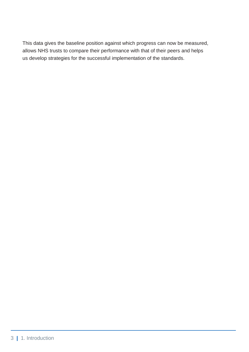This data gives the baseline position against which progress can now be measured, allows NHS trusts to compare their performance with that of their peers and helps us develop strategies for the successful implementation of the standards.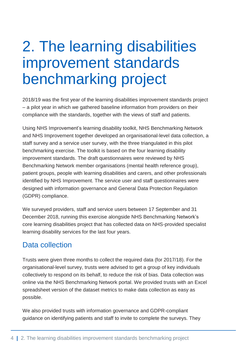### <span id="page-4-0"></span>2. The learning disabilities improvement standards benchmarking project

2018/19 was the first year of the learning disabilities improvement standards project – a pilot year in which we gathered baseline information from providers on their compliance with the standards, together with the views of staff and patients.

Using NHS Improvement's learning disability toolkit, NHS Benchmarking Network and NHS Improvement together developed an organisational-level data collection, a staff survey and a service user survey, with the three triangulated in this pilot benchmarking exercise. The toolkit is based on the four learning disability improvement standards. The draft questionnaires were reviewed by NHS Benchmarking Network member organisations (mental health reference group), patient groups, people with learning disabilities and carers, and other professionals identified by NHS Improvement. The service user and staff questionnaires were designed with information governance and General Data Protection Regulation (GDPR) compliance.

We surveyed providers, staff and service users between 17 September and 31 December 2018, running this exercise alongside NHS Benchmarking Network's core learning disabilities project that has collected data on NHS-provided specialist learning disability services for the last four years.

#### Data collection

Trusts were given three months to collect the required data (for 2017/18). For the organisational-level survey, trusts were advised to get a group of key individuals collectively to respond on its behalf, to reduce the risk of bias. Data collection was online via the NHS Benchmarking Network portal. We provided trusts with an Excel spreadsheet version of the dataset metrics to make data collection as easy as possible.

We also provided trusts with information governance and GDPR-compliant guidance on identifying patients and staff to invite to complete the surveys. They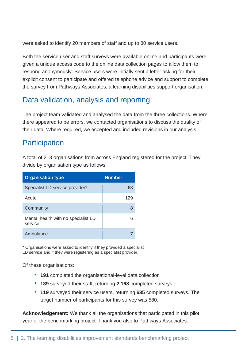were asked to identify 20 members of staff and up to 80 service users.

Both the service user and staff surveys were available online and participants were given a unique access code to the online data collection pages to allow them to respond anonymously. Service users were initially sent a letter asking for their explicit consent to participate and offered telephone advice and support to complete the survey from Pathways Associates, a learning disabilities support organisation.

#### Data validation, analysis and reporting

The project team validated and analysed the data from the three collections. Where there appeared to be errors, we contacted organisations to discuss the quality of their data. Where required, we accepted and included revisions in our analysis.

#### **Participation**

A total of 213 organisations from across England registered for the project. They divide by organisation type as follows:

| <b>Organisation type</b>                       | <b>Number</b> |
|------------------------------------------------|---------------|
| Specialist LD service provider*                | 63            |
| Acute                                          | 129           |
| Community                                      |               |
| Mental health with no specialist LD<br>service |               |
| Ambulance                                      |               |

\* Organisations were asked to identify if they provided a specialist LD service and if they were registering as a specialist provider.

Of these organisations:

- **191** completed the organisational-level data collection
- **189** surveyed their staff, returning **2,168** completed surveys
- **119** surveyed their service users, returning **635** completed surveys. The target number of participants for this survey was 580.

**Acknowledgement:** We thank all the organisations that participated in this pilot year of the benchmarking project. Thank you also to Pathways Associates.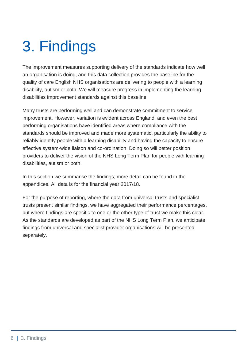# <span id="page-6-0"></span>3. Findings

The improvement measures supporting delivery of the standards indicate how well an organisation is doing, and this data collection provides the baseline for the quality of care English NHS organisations are delivering to people with a learning disability, autism or both. We will measure progress in implementing the learning disabilities improvement standards against this baseline.

Many trusts are performing well and can demonstrate commitment to service improvement. However, variation is evident across England, and even the best performing organisations have identified areas where compliance with the standards should be improved and made more systematic, particularly the ability to reliably identify people with a learning disability and having the capacity to ensure effective system-wide liaison and co-ordination. Doing so will better position providers to deliver the vision of the NHS Long Term Plan for people with learning disabilities, autism or both.

In this section we summarise the findings; more detail can be found in the appendices. All data is for the financial year 2017/18.

For the purpose of reporting, where the data from universal trusts and specialist trusts present similar findings, we have aggregated their performance percentages, but where findings are specific to one or the other type of trust we make this clear. As the standards are developed as part of the NHS Long Term Plan, we anticipate findings from universal and specialist provider organisations will be presented separately.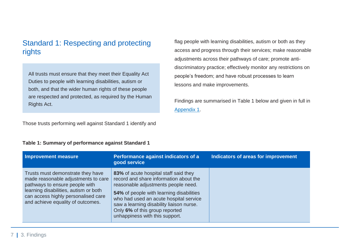### Standard 1: Respecting and protecting rights

All trusts must ensure that they meet their Equality Act Duties to people with learning disabilities, autism or both, and that the wider human rights of these people are respected and protected, as required by the Human Rights Act.

Those trusts performing well against Standard 1 identify and

#### **Table 1: Summary of performance against Standard 1**

flag people with learning disabilities, autism or both as they access and progress through their services; make reasonable adjustments across their pathways of care; promote antidiscriminatory practice; effectively monitor any restrictions on people's freedom; and have robust processes to learn lessons and make improvements.

Findings are summarised in Table 1 below and given in full in [Appendix 1.](https://improvement.nhs.uk/resources/learning-disability-improvement-standards-nhs-trusts/)

| <b>Improvement measure</b>                                                                                                                                                                                                      | Performance against indicators of a<br>good service                                                                                                                                                                                                                                                                          | Indicators of areas for improvement |
|---------------------------------------------------------------------------------------------------------------------------------------------------------------------------------------------------------------------------------|------------------------------------------------------------------------------------------------------------------------------------------------------------------------------------------------------------------------------------------------------------------------------------------------------------------------------|-------------------------------------|
| Trusts must demonstrate they have<br>made reasonable adjustments to care<br>pathways to ensure people with<br>learning disabilities, autism or both<br>can access highly personalised care<br>and achieve equality of outcomes. | 83% of acute hospital staff said they<br>record and share information about the<br>reasonable adjustments people need.<br>54% of people with learning disabilities<br>who had used an acute hospital service<br>saw a learning disability liaison nurse.<br>Only 6% of this group reported<br>unhappiness with this support. |                                     |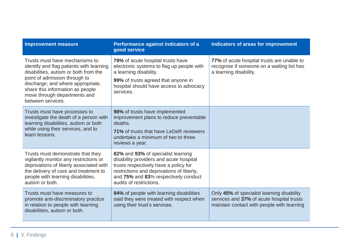| <b>Improvement measure</b>                                                                                                                                                                                                                                                         | Performance against indicators of a<br>good service                                                                                                                                                                                    | Indicators of areas for improvement                                                                                                   |
|------------------------------------------------------------------------------------------------------------------------------------------------------------------------------------------------------------------------------------------------------------------------------------|----------------------------------------------------------------------------------------------------------------------------------------------------------------------------------------------------------------------------------------|---------------------------------------------------------------------------------------------------------------------------------------|
| Trusts must have mechanisms to<br>identify and flag patients with learning<br>disabilities, autism or both from the<br>point of admission through to<br>discharge; and where appropriate,<br>share this information as people<br>move through departments and<br>between services. | <b>79%</b> of acute hospital trusts have<br>electronic systems to flag up people with<br>a learning disability.<br>99% of trusts agreed that anyone in<br>hospital should have access to advocacy<br>services.                         | 77% of acute hospital trusts are unable to<br>recognise if someone on a waiting list has<br>a learning disability.                    |
| Trusts must have processes to<br>investigate the death of a person with<br>learning disabilities, autism or both<br>while using their services, and to<br>learn lessons.                                                                                                           | 98% of trusts have implemented<br>improvement plans to reduce preventable<br>deaths.<br>71% of trusts that have LeDeR reviewers<br>undertake a minimum of two to three<br>reviews a year.                                              |                                                                                                                                       |
| Trusts must demonstrate that they<br>vigilantly monitor any restrictions or<br>deprivations of liberty associated with<br>the delivery of care and treatment to<br>people with learning disabilities,<br>autism or both.                                                           | 82% and 93% of specialist learning<br>disability providers and acute hospital<br>trusts respectively have a policy for<br>restrictions and deprivations of liberty,<br>and 75% and 83% respectively conduct<br>audits of restrictions. |                                                                                                                                       |
| Trusts must have measures to<br>promote anti-discriminatory practice<br>in relation to people with learning<br>disabilities, autism or both.                                                                                                                                       | 94% of people with learning disabilities<br>said they were treated with respect when<br>using their trust's services.                                                                                                                  | Only 45% of specialist learning disability<br>services and 37% of acute hospital trusts<br>maintain contact with people with learning |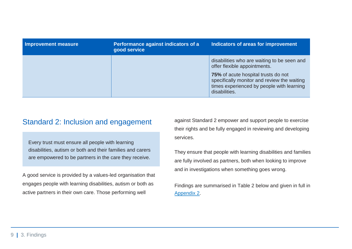| Improvement measure | Performance against indicators of a<br>good service | Indicators of areas for improvement                                                                                                              |
|---------------------|-----------------------------------------------------|--------------------------------------------------------------------------------------------------------------------------------------------------|
|                     |                                                     | disabilities who are waiting to be seen and<br>offer flexible appointments.                                                                      |
|                     |                                                     | 75% of acute hospital trusts do not<br>specifically monitor and review the waiting<br>times experienced by people with learning<br>disabilities. |

#### Standard 2: Inclusion and engagement

Every trust must ensure all people with learning disabilities, autism or both and their families and carers are empowered to be partners in the care they receive.

A good service is provided by a values-led organisation that engages people with learning disabilities, autism or both as active partners in their own care. Those performing well

against Standard 2 empower and support people to exercise their rights and be fully engaged in reviewing and developing services.

They ensure that people with learning disabilities and families are fully involved as partners, both when looking to improve and in investigations when something goes wrong.

Findings are summarised in Table 2 below and given in full in [Appendix 2.](https://improvement.nhs.uk/resources/learning-disability-improvement-standards-nhs-trusts/)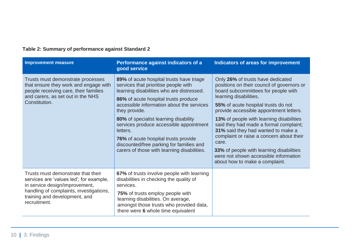| <b>Improvement measure</b>                                                                                                                                                                                  | Performance against indicators of a<br>good service                                                                                                                                                                                                                                                                                                                                                                                                                           | Indicators of areas for improvement                                                                                                                                                                                                                                                                                                                                                                                                                                                                                                               |
|-------------------------------------------------------------------------------------------------------------------------------------------------------------------------------------------------------------|-------------------------------------------------------------------------------------------------------------------------------------------------------------------------------------------------------------------------------------------------------------------------------------------------------------------------------------------------------------------------------------------------------------------------------------------------------------------------------|---------------------------------------------------------------------------------------------------------------------------------------------------------------------------------------------------------------------------------------------------------------------------------------------------------------------------------------------------------------------------------------------------------------------------------------------------------------------------------------------------------------------------------------------------|
| Trusts must demonstrate processes<br>that ensure they work and engage with<br>people receiving care, their families<br>and carers, as set out in the NHS<br>Constitution.                                   | 89% of acute hospital trusts have triage<br>services that prioritise people with<br>learning disabilities who are distressed.<br>86% of acute hospital trusts produce<br>accessible information about the services<br>they provide.<br>80% of specialist learning disability<br>services produce accessible appointment<br>letters.<br><b>76%</b> of acute hospital trusts provide<br>discounted/free parking for families and<br>carers of those with learning disabilities. | Only 26% of trusts have dedicated<br>positions on their council of governors or<br>board subcommittees for people with<br>learning disabilities.<br>55% of acute hospital trusts do not<br>provide accessible appointment letters.<br><b>13%</b> of people with learning disabilities<br>said they had made a formal complaint;<br>31% said they had wanted to make a<br>complaint or raise a concern about their<br>care.<br>33% of people with learning disabilities<br>were not shown accessible information<br>about how to make a complaint. |
| Trusts must demonstrate that their<br>services are 'values led'; for example,<br>in service design/improvement,<br>handling of complaints, investigations,<br>training and development, and<br>recruitment. | 67% of trusts involve people with learning<br>disabilities in checking the quality of<br>services.<br>75% of trusts employ people with<br>learning disabilities. On average,<br>amongst those trusts who provided data,<br>there were 6 whole time equivalent                                                                                                                                                                                                                 |                                                                                                                                                                                                                                                                                                                                                                                                                                                                                                                                                   |

#### **Table 2: Summary of performance against Standard 2**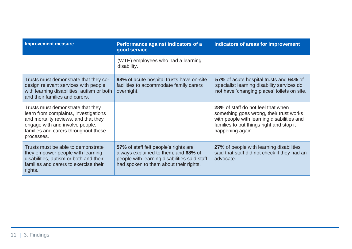| <b>Improvement measure</b>                                                                                                                                                                                  | Performance against indicators of a<br>good service                                                                                                                     | <b>Indicators of areas for improvement</b>                                                                                                                                                         |
|-------------------------------------------------------------------------------------------------------------------------------------------------------------------------------------------------------------|-------------------------------------------------------------------------------------------------------------------------------------------------------------------------|----------------------------------------------------------------------------------------------------------------------------------------------------------------------------------------------------|
|                                                                                                                                                                                                             | (WTE) employees who had a learning<br>disability.                                                                                                                       |                                                                                                                                                                                                    |
| Trusts must demonstrate that they co-<br>design relevant services with people<br>with learning disabilities, autism or both<br>and their families and carers.                                               | 98% of acute hospital trusts have on-site<br>facilities to accommodate family carers<br>overnight.                                                                      | 57% of acute hospital trusts and 64% of<br>specialist learning disability services do<br>not have 'changing places' toilets on site.                                                               |
| Trusts must demonstrate that they<br>learn from complaints, investigations<br>and mortality reviews, and that they<br>engage with and involve people,<br>families and carers throughout these<br>processes. |                                                                                                                                                                         | <b>28%</b> of staff do not feel that when<br>something goes wrong, their trust works<br>with people with learning disabilities and<br>families to put things right and stop it<br>happening again. |
| Trusts must be able to demonstrate<br>they empower people with learning<br>disabilities, autism or both and their<br>families and carers to exercise their<br>rights.                                       | 57% of staff felt people's rights are<br>always explained to them; and 68% of<br>people with learning disabilities said staff<br>had spoken to them about their rights. | 27% of people with learning disabilities<br>said that staff did not check if they had an<br>advocate.                                                                                              |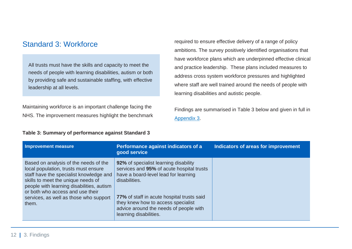#### Standard 3: Workforce

All trusts must have the skills and capacity to meet the needs of people with learning disabilities, autism or both by providing safe and sustainable staffing, with effective leadership at all levels.

Maintaining workforce is an important challenge facing the NHS. The improvement measures highlight the benchmark

**Table 3: Summary of performance against Standard 3**

required to ensure effective delivery of a range of policy ambitions. The survey positively identified organisations that have workforce plans which are underpinned effective clinical and practice leadership. These plans included measures to address cross system workforce pressures and highlighted where staff are well trained around the needs of people with learning disabilities and autistic people.

Findings are summarised in Table 3 below and given in full in [Appendix 3.](https://improvement.nhs.uk/resources/learning-disability-improvement-standards-nhs-trusts/)

| <b>Improvement measure</b>                                                                                                                                                                                                                                                                         | Performance against indicators of a<br>good service                                                                                                                                                                                                                                                 | Indicators of areas for improvement |
|----------------------------------------------------------------------------------------------------------------------------------------------------------------------------------------------------------------------------------------------------------------------------------------------------|-----------------------------------------------------------------------------------------------------------------------------------------------------------------------------------------------------------------------------------------------------------------------------------------------------|-------------------------------------|
| Based on analysis of the needs of the<br>local population, trusts must ensure<br>staff have the specialist knowledge and<br>skills to meet the unique needs of<br>people with learning disabilities, autism<br>or both who access and use their<br>services, as well as those who support<br>them. | 92% of specialist learning disability<br>services and 95% of acute hospital trusts<br>have a board-level lead for learning<br>disabilities.<br>77% of staff in acute hospital trusts said<br>they knew how to access specialist<br>advice around the needs of people with<br>learning disabilities. |                                     |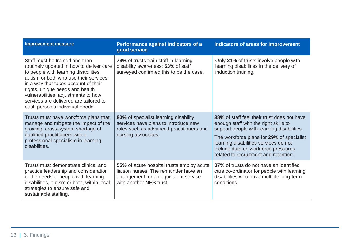| <b>Improvement measure</b>                                                                                                                                                                                                                                                                                                                                   | Performance against indicators of a<br>good service                                                                                                    | <b>Indicators of areas for improvement</b>                                                                                                                                                                                                                                                                      |
|--------------------------------------------------------------------------------------------------------------------------------------------------------------------------------------------------------------------------------------------------------------------------------------------------------------------------------------------------------------|--------------------------------------------------------------------------------------------------------------------------------------------------------|-----------------------------------------------------------------------------------------------------------------------------------------------------------------------------------------------------------------------------------------------------------------------------------------------------------------|
| Staff must be trained and then<br>routinely updated in how to deliver care<br>to people with learning disabilities,<br>autism or both who use their services,<br>in a way that takes account of their<br>rights, unique needs and health<br>vulnerabilities; adjustments to how<br>services are delivered are tailored to<br>each person's individual needs. | 79% of trusts train staff in learning<br>disability awareness; 53% of staff<br>surveyed confirmed this to be the case.                                 | Only 21% of trusts involve people with<br>learning disabilities in the delivery of<br>induction training.                                                                                                                                                                                                       |
| Trusts must have workforce plans that<br>manage and mitigate the impact of the<br>growing, cross-system shortage of<br>qualified practitioners with a<br>professional specialism in learning<br>disabilities.                                                                                                                                                | 80% of specialist learning disability<br>services have plans to introduce new<br>roles such as advanced practitioners and<br>nursing associates.       | <b>38%</b> of staff feel their trust does not have<br>enough staff with the right skills to<br>support people with learning disabilities.<br>The workforce plans for 29% of specialist<br>learning disabilities services do not<br>include data on workforce pressures<br>related to recruitment and retention. |
| Trusts must demonstrate clinical and<br>practice leadership and consideration<br>of the needs of people with learning<br>disabilities, autism or both, within local<br>strategies to ensure safe and<br>sustainable staffing.                                                                                                                                | 55% of acute hospital trusts employ acute<br>liaison nurses. The remainder have an<br>arrangement for an equivalent service<br>with another NHS trust. | 37% of trusts do not have an identified<br>care co-ordinator for people with learning<br>disabilities who have multiple long-term<br>conditions.                                                                                                                                                                |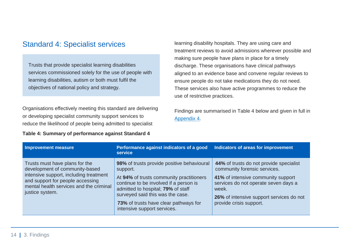#### Standard 4: Specialist services

Trusts that provide specialist learning disabilities services commissioned solely for the use of people with learning disabilities, autism or both must fulfil the objectives of national policy and strategy.

Organisations effectively meeting this standard are delivering or developing specialist community support services to reduce the likelihood of people being admitted to specialist

**Table 4: Summary of performance against Standard 4**

learning disability hospitals. They are using care and treatment reviews to avoid admissions wherever possible and making sure people have plans in place for a timely discharge. These organisations have clinical pathways aligned to an evidence base and convene regular reviews to ensure people do not take medications they do not need. These services also have active programmes to reduce the use of restrictive practices.

Findings are summarised in Table 4 below and given in full in [Appendix 4.](https://improvement.nhs.uk/resources/learning-disability-improvement-standards-nhs-trusts/)

| Improvement measure                                                                                                                                                                                          | Performance against indicators of a good<br>service                                                                                                                                                                                                                                            | Indicators of areas for improvement                                                                                                                                                                                                   |
|--------------------------------------------------------------------------------------------------------------------------------------------------------------------------------------------------------------|------------------------------------------------------------------------------------------------------------------------------------------------------------------------------------------------------------------------------------------------------------------------------------------------|---------------------------------------------------------------------------------------------------------------------------------------------------------------------------------------------------------------------------------------|
| Trusts must have plans for the<br>development of community-based<br>intensive support, including treatment<br>and support for people accessing<br>mental health services and the criminal<br>justice system. | 98% of trusts provide positive behavioural<br>support.<br>At 94% of trusts community practitioners<br>continue to be involved if a person is<br>admitted to hospital; 79% of staff<br>surveyed said this was the case.<br>73% of trusts have clear pathways for<br>intensive support services. | 44% of trusts do not provide specialist<br>community forensic services.<br>41% of intensive community support<br>services do not operate seven days a<br>week.<br>26% of intensive support services do not<br>provide crisis support. |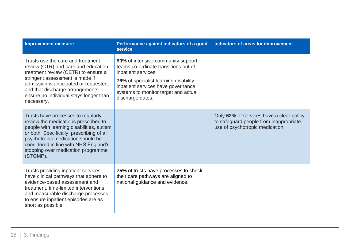| <b>Improvement measure</b>                                                                                                                                                                                                                                                                           | Performance against indicators of a good<br>service                                                                                                                                                                                          | <b>Indicators of areas for improvement</b>                                                                            |
|------------------------------------------------------------------------------------------------------------------------------------------------------------------------------------------------------------------------------------------------------------------------------------------------------|----------------------------------------------------------------------------------------------------------------------------------------------------------------------------------------------------------------------------------------------|-----------------------------------------------------------------------------------------------------------------------|
| Trusts use the care and treatment<br>review (CTR) and care and education<br>treatment review (CETR) to ensure a<br>stringent assessment is made if<br>admission is anticipated or requested,<br>and that discharge arrangements<br>ensure no individual stays longer than<br>necessary.              | 90% of intensive community support<br>teams co-ordinate transitions out of<br>inpatient services.<br>76% of specialist learning disability<br>inpatient services have governance<br>systems to monitor target and actual<br>discharge dates. |                                                                                                                       |
| Trusts have processes to regularly<br>review the medications prescribed to<br>people with learning disabilities, autism<br>or both. Specifically, prescribing of all<br>psychotropic medication should be<br>considered in line with NHS England's<br>stopping over medication programme<br>(STOMP). |                                                                                                                                                                                                                                              | Only 62% of services have a clear policy<br>to safeguard people from inappropriate<br>use of psychotropic medication. |
| Trusts providing inpatient services<br>have clinical pathways that adhere to<br>evidence-based assessment and<br>treatment, time-limited interventions<br>and measurable discharge processes<br>to ensure inpatient episodes are as<br>short as possible.                                            | 75% of trusts have processes to check<br>their care pathways are aligned to<br>national guidance and evidence.                                                                                                                               |                                                                                                                       |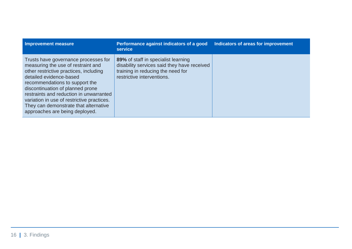| <b>Improvement measure</b>                                                                                                                                                                                                                                                                                                                                                                | Performance against indicators of a good<br>service                                                                                                   | Indicators of areas for improvement |
|-------------------------------------------------------------------------------------------------------------------------------------------------------------------------------------------------------------------------------------------------------------------------------------------------------------------------------------------------------------------------------------------|-------------------------------------------------------------------------------------------------------------------------------------------------------|-------------------------------------|
| Trusts have governance processes for<br>measuring the use of restraint and<br>other restrictive practices, including<br>detailed evidence-based<br>recommendations to support the<br>discontinuation of planned prone<br>restraints and reduction in unwarranted<br>variation in use of restrictive practices.<br>They can demonstrate that alternative<br>approaches are being deployed. | 89% of staff in specialist learning<br>disability services said they have received<br>training in reducing the need for<br>restrictive interventions. |                                     |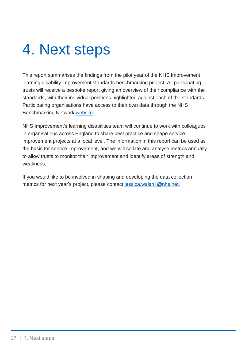### <span id="page-17-0"></span>4. Next steps

This report summarises the findings from the pilot year of the NHS Improvement learning disability improvement standards benchmarking project. All participating trusts will receive a bespoke report giving an overview of their compliance with the standards, with their individual positions highlighted against each of the standards. Participating organisations have access to their own data through the NHS Benchmarking Network [website.](http://www.nhsbenchmarking.nhs.uk/)

NHS Improvement's learning disabilities team will continue to work with colleagues in organisations across England to share best practice and shape service improvement projects at a local level. The information in this report can be used as the basis for service improvement, and we will collate and analyse metrics annually to allow trusts to monitor their improvement and identify areas of strength and weakness.

If you would like to be involved in shaping and developing the data collection metrics for next year's project, please contact [jessica.walsh1@nhs.net](mailto:jessica.walsh1@nhs.net).